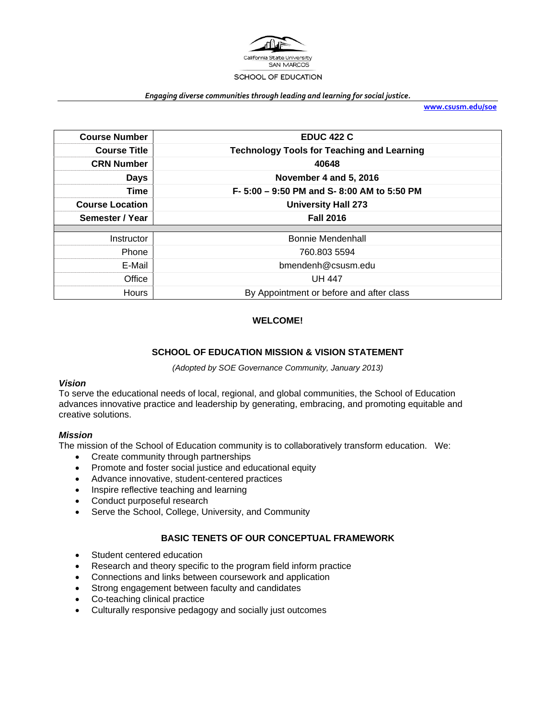

#### *Engaging diverse communities through leading and learning for social justice.*

**www.csusm.edu/soe**

| <b>Course Number</b>   | <b>EDUC 422 C</b>                                                         |  |
|------------------------|---------------------------------------------------------------------------|--|
| <b>Course Title</b>    | <b>Technology Tools for Teaching and Learning</b>                         |  |
| <b>CRN Number</b>      | 40648                                                                     |  |
| <b>Days</b>            | November 4 and 5, 2016                                                    |  |
| Time                   | F- 5:00 - 9:50 PM and S- 8:00 AM to 5:50 PM<br><b>University Hall 273</b> |  |
| <b>Course Location</b> |                                                                           |  |
| Semester / Year        | <b>Fall 2016</b>                                                          |  |
|                        |                                                                           |  |
| <b>Instructor</b>      | Bonnie Mendenhall                                                         |  |
| Phone                  | 760.803 5594                                                              |  |
|                        |                                                                           |  |
| E-Mail                 | bmendenh@csusm.edu                                                        |  |
| Office                 | <b>UH 447</b>                                                             |  |

# **WELCOME!**

#### **SCHOOL OF EDUCATION MISSION & VISION STATEMENT**

*(Adopted by SOE Governance Community, January 2013)* 

#### *Vision*

To serve the educational needs of local, regional, and global communities, the School of Education advances innovative practice and leadership by generating, embracing, and promoting equitable and creative solutions.

### *Mission*

The mission of the School of Education community is to collaboratively transform education. We:

- Create community through partnerships
- Promote and foster social justice and educational equity
- Advance innovative, student-centered practices
- Inspire reflective teaching and learning
- Conduct purposeful research
- Serve the School, College, University, and Community

#### **BASIC TENETS OF OUR CONCEPTUAL FRAMEWORK**

- Student centered education
- Research and theory specific to the program field inform practice
- Connections and links between coursework and application
- Strong engagement between faculty and candidates
- Co-teaching clinical practice
- Culturally responsive pedagogy and socially just outcomes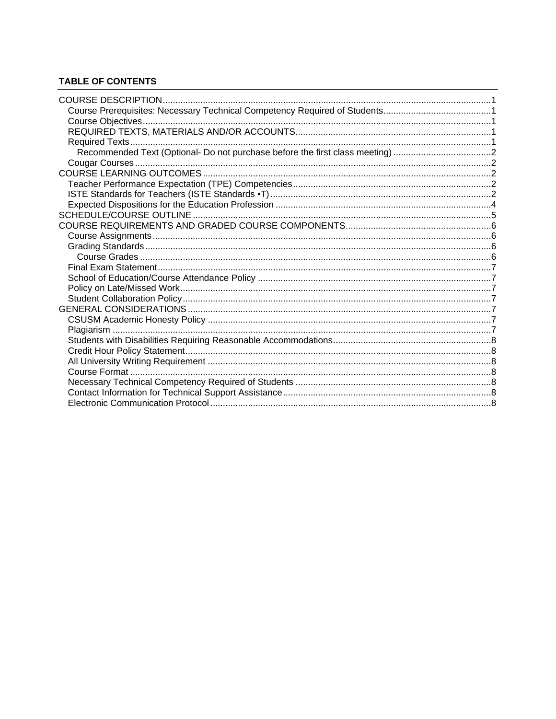# **TABLE OF CONTENTS**

| <b>SCHEDULE/COURSE OUTLINE</b> |  |
|--------------------------------|--|
|                                |  |
|                                |  |
|                                |  |
|                                |  |
|                                |  |
|                                |  |
|                                |  |
|                                |  |
|                                |  |
|                                |  |
|                                |  |
|                                |  |
|                                |  |
|                                |  |
|                                |  |
|                                |  |
|                                |  |
|                                |  |
|                                |  |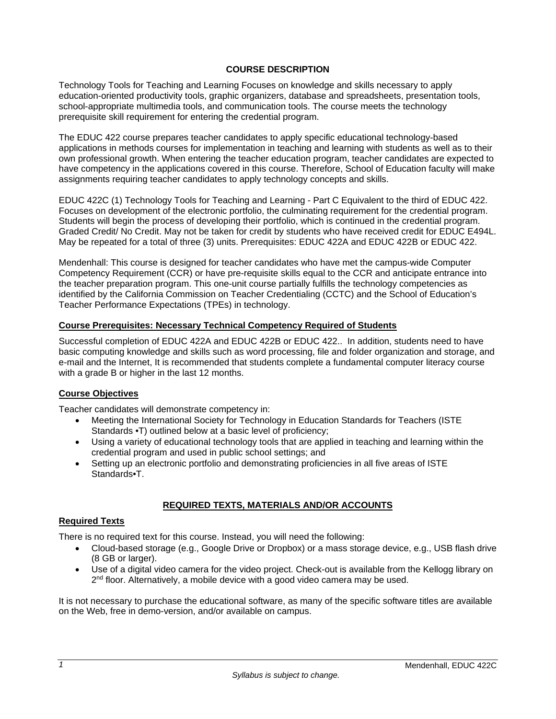# **COURSE DESCRIPTION**

Technology Tools for Teaching and Learning Focuses on knowledge and skills necessary to apply education-oriented productivity tools, graphic organizers, database and spreadsheets, presentation tools, school-appropriate multimedia tools, and communication tools. The course meets the technology prerequisite skill requirement for entering the credential program.

The EDUC 422 course prepares teacher candidates to apply specific educational technology-based applications in methods courses for implementation in teaching and learning with students as well as to their own professional growth. When entering the teacher education program, teacher candidates are expected to have competency in the applications covered in this course. Therefore, School of Education faculty will make assignments requiring teacher candidates to apply technology concepts and skills.

EDUC 422C (1) Technology Tools for Teaching and Learning - Part C Equivalent to the third of EDUC 422. Focuses on development of the electronic portfolio, the culminating requirement for the credential program. Students will begin the process of developing their portfolio, which is continued in the credential program. Graded Credit/ No Credit. May not be taken for credit by students who have received credit for EDUC E494L. May be repeated for a total of three (3) units. Prerequisites: EDUC 422A and EDUC 422B or EDUC 422.

Mendenhall: This course is designed for teacher candidates who have met the campus-wide Computer Competency Requirement (CCR) or have pre-requisite skills equal to the CCR and anticipate entrance into the teacher preparation program. This one-unit course partially fulfills the technology competencies as identified by the California Commission on Teacher Credentialing (CCTC) and the School of Education's Teacher Performance Expectations (TPEs) in technology.

#### **Course Prerequisites: Necessary Technical Competency Required of Students**

Successful completion of EDUC 422A and EDUC 422B or EDUC 422.. In addition, students need to have basic computing knowledge and skills such as word processing, file and folder organization and storage, and e-mail and the Internet, It is recommended that students complete a fundamental computer literacy course with a grade B or higher in the last 12 months.

# **Course Objectives**

Teacher candidates will demonstrate competency in:

- Meeting the International Society for Technology in Education Standards for Teachers (ISTE Standards •T) outlined below at a basic level of proficiency;
- Using a variety of educational technology tools that are applied in teaching and learning within the credential program and used in public school settings; and
- Setting up an electronic portfolio and demonstrating proficiencies in all five areas of ISTE Standards•T.

# **REQUIRED TEXTS, MATERIALS AND/OR ACCOUNTS**

#### **Required Texts**

There is no required text for this course. Instead, you will need the following:

- Cloud-based storage (e.g., Google Drive or Dropbox) or a mass storage device, e.g., USB flash drive (8 GB or larger).
- Use of a digital video camera for the video project. Check-out is available from the Kellogg library on  $2<sup>nd</sup>$  floor. Alternatively, a mobile device with a good video camera may be used.

It is not necessary to purchase the educational software, as many of the specific software titles are available on the Web, free in demo-version, and/or available on campus.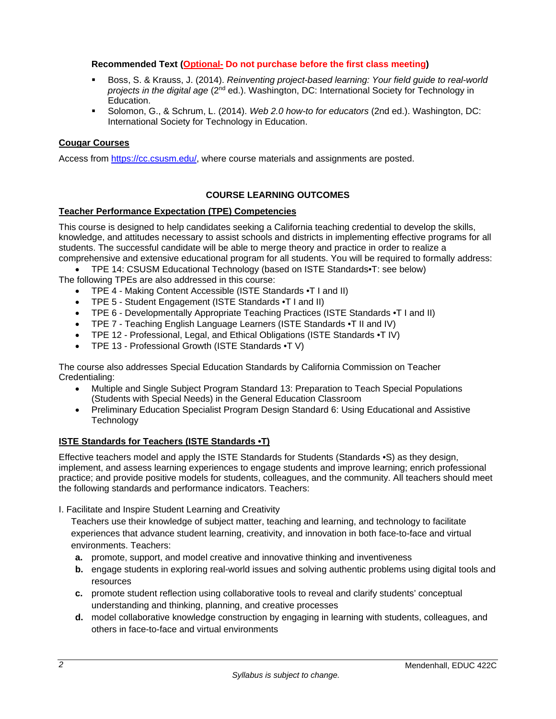# **Recommended Text (Optional- Do not purchase before the first class meeting)**

- Boss, S. & Krauss, J. (2014). *Reinventing project-based learning: Your field guide to real-world*  projects in the digital age (2<sup>nd</sup> ed.). Washington, DC: International Society for Technology in Education.
- Solomon, G., & Schrum, L. (2014). *Web 2.0 how-to for educators* (2nd ed.). Washington, DC: International Society for Technology in Education.

# **Cougar Courses**

Access from https://cc.csusm.edu/, where course materials and assignments are posted.

# **COURSE LEARNING OUTCOMES**

#### **Teacher Performance Expectation (TPE) Competencies**

This course is designed to help candidates seeking a California teaching credential to develop the skills, knowledge, and attitudes necessary to assist schools and districts in implementing effective programs for all students. The successful candidate will be able to merge theory and practice in order to realize a comprehensive and extensive educational program for all students. You will be required to formally address:

TPE 14: CSUSM Educational Technology (based on ISTE Standards•T: see below)

The following TPEs are also addressed in this course:

- TPE 4 Making Content Accessible (ISTE Standards •T I and II)
- TPE 5 Student Engagement (ISTE Standards •T I and II)
- TPE 6 Developmentally Appropriate Teaching Practices (ISTE Standards •T I and II)
- TPE 7 Teaching English Language Learners (ISTE Standards •T II and IV)
- TPE 12 Professional, Legal, and Ethical Obligations (ISTE Standards •T IV)
- TPE 13 Professional Growth (ISTE Standards •T V)

The course also addresses Special Education Standards by California Commission on Teacher Credentialing:

- Multiple and Single Subject Program Standard 13: Preparation to Teach Special Populations (Students with Special Needs) in the General Education Classroom
- Preliminary Education Specialist Program Design Standard 6: Using Educational and Assistive **Technology**

# **ISTE Standards for Teachers (ISTE Standards •T)**

Effective teachers model and apply the ISTE Standards for Students (Standards •S) as they design, implement, and assess learning experiences to engage students and improve learning; enrich professional practice; and provide positive models for students, colleagues, and the community. All teachers should meet the following standards and performance indicators. Teachers:

I. Facilitate and Inspire Student Learning and Creativity

Teachers use their knowledge of subject matter, teaching and learning, and technology to facilitate experiences that advance student learning, creativity, and innovation in both face-to-face and virtual environments. Teachers:

- **a.** promote, support, and model creative and innovative thinking and inventiveness
- **b.** engage students in exploring real-world issues and solving authentic problems using digital tools and resources
- **c.** promote student reflection using collaborative tools to reveal and clarify students' conceptual understanding and thinking, planning, and creative processes
- **d.** model collaborative knowledge construction by engaging in learning with students, colleagues, and others in face-to-face and virtual environments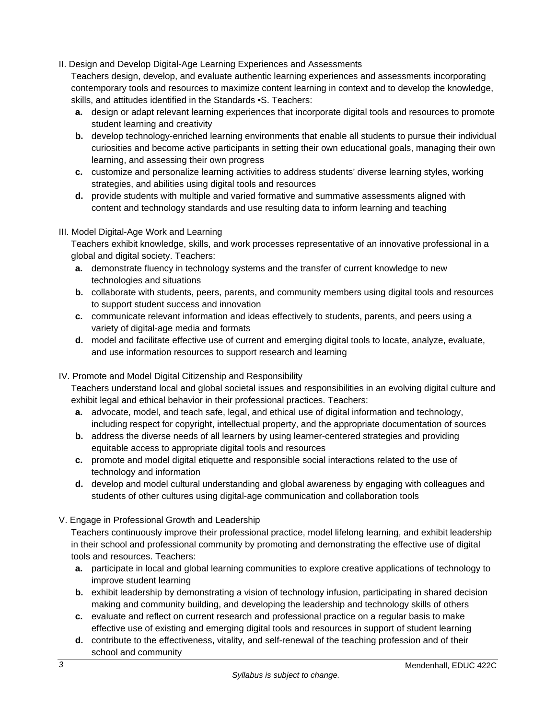# II. Design and Develop Digital-Age Learning Experiences and Assessments

Teachers design, develop, and evaluate authentic learning experiences and assessments incorporating contemporary tools and resources to maximize content learning in context and to develop the knowledge, skills, and attitudes identified in the Standards •S. Teachers:

- **a.** design or adapt relevant learning experiences that incorporate digital tools and resources to promote student learning and creativity
- **b.** develop technology-enriched learning environments that enable all students to pursue their individual curiosities and become active participants in setting their own educational goals, managing their own learning, and assessing their own progress
- **c.** customize and personalize learning activities to address students' diverse learning styles, working strategies, and abilities using digital tools and resources
- **d.** provide students with multiple and varied formative and summative assessments aligned with content and technology standards and use resulting data to inform learning and teaching

# III. Model Digital-Age Work and Learning

Teachers exhibit knowledge, skills, and work processes representative of an innovative professional in a global and digital society. Teachers:

- **a.** demonstrate fluency in technology systems and the transfer of current knowledge to new technologies and situations
- **b.** collaborate with students, peers, parents, and community members using digital tools and resources to support student success and innovation
- **c.** communicate relevant information and ideas effectively to students, parents, and peers using a variety of digital-age media and formats
- **d.** model and facilitate effective use of current and emerging digital tools to locate, analyze, evaluate, and use information resources to support research and learning

# IV. Promote and Model Digital Citizenship and Responsibility

Teachers understand local and global societal issues and responsibilities in an evolving digital culture and exhibit legal and ethical behavior in their professional practices. Teachers:

- **a.** advocate, model, and teach safe, legal, and ethical use of digital information and technology, including respect for copyright, intellectual property, and the appropriate documentation of sources
- **b.** address the diverse needs of all learners by using learner-centered strategies and providing equitable access to appropriate digital tools and resources
- **c.** promote and model digital etiquette and responsible social interactions related to the use of technology and information
- **d.** develop and model cultural understanding and global awareness by engaging with colleagues and students of other cultures using digital-age communication and collaboration tools

# V. Engage in Professional Growth and Leadership

Teachers continuously improve their professional practice, model lifelong learning, and exhibit leadership in their school and professional community by promoting and demonstrating the effective use of digital tools and resources. Teachers:

- **a.** participate in local and global learning communities to explore creative applications of technology to improve student learning
- **b.** exhibit leadership by demonstrating a vision of technology infusion, participating in shared decision making and community building, and developing the leadership and technology skills of others
- **c.** evaluate and reflect on current research and professional practice on a regular basis to make effective use of existing and emerging digital tools and resources in support of student learning
- **d.** contribute to the effectiveness, vitality, and self-renewal of the teaching profession and of their school and community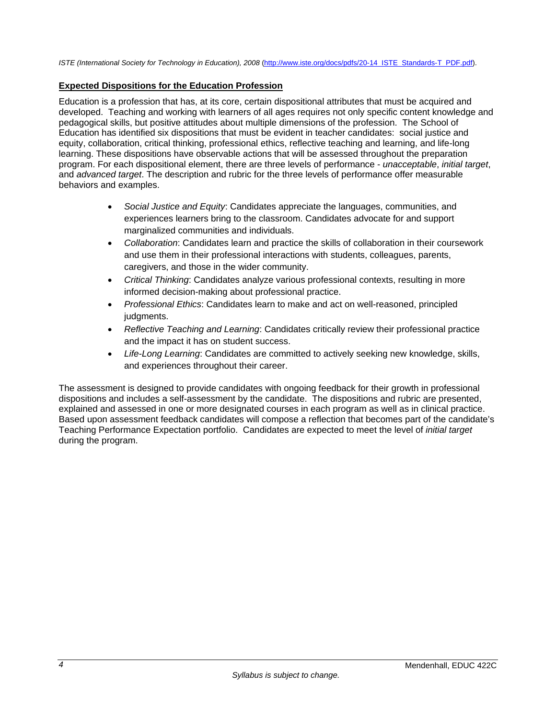*ISTE (International Society for Technology in Education), 2008* (http://www.iste.org/docs/pdfs/20-14\_ISTE\_Standards-T\_PDF.pdf).

# **Expected Dispositions for the Education Profession**

Education is a profession that has, at its core, certain dispositional attributes that must be acquired and developed. Teaching and working with learners of all ages requires not only specific content knowledge and pedagogical skills, but positive attitudes about multiple dimensions of the profession. The School of Education has identified six dispositions that must be evident in teacher candidates: social justice and equity, collaboration, critical thinking, professional ethics, reflective teaching and learning, and life-long learning. These dispositions have observable actions that will be assessed throughout the preparation program. For each dispositional element, there are three levels of performance - *unacceptable*, *initial target*, and *advanced target*. The description and rubric for the three levels of performance offer measurable behaviors and examples.

- *Social Justice and Equity*: Candidates appreciate the languages, communities, and experiences learners bring to the classroom. Candidates advocate for and support marginalized communities and individuals.
- *Collaboration*: Candidates learn and practice the skills of collaboration in their coursework and use them in their professional interactions with students, colleagues, parents, caregivers, and those in the wider community.
- *Critical Thinking*: Candidates analyze various professional contexts, resulting in more informed decision-making about professional practice.
- *Professional Ethics*: Candidates learn to make and act on well-reasoned, principled judgments.
- *Reflective Teaching and Learning*: Candidates critically review their professional practice and the impact it has on student success.
- *Life-Long Learning*: Candidates are committed to actively seeking new knowledge, skills, and experiences throughout their career.

The assessment is designed to provide candidates with ongoing feedback for their growth in professional dispositions and includes a self-assessment by the candidate. The dispositions and rubric are presented, explained and assessed in one or more designated courses in each program as well as in clinical practice. Based upon assessment feedback candidates will compose a reflection that becomes part of the candidate's Teaching Performance Expectation portfolio. Candidates are expected to meet the level of *initial target* during the program.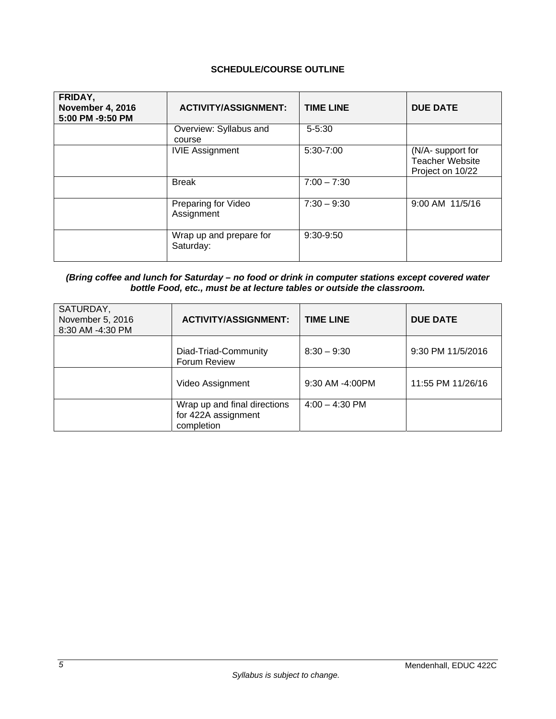# **SCHEDULE/COURSE OUTLINE**

| FRIDAY,<br><b>November 4, 2016</b><br>5:00 PM -9:50 PM | <b>ACTIVITY/ASSIGNMENT:</b>          | <b>TIME LINE</b> | <b>DUE DATE</b>                                                 |
|--------------------------------------------------------|--------------------------------------|------------------|-----------------------------------------------------------------|
|                                                        | Overview: Syllabus and<br>course     | $5 - 5:30$       |                                                                 |
|                                                        | <b>IVIE Assignment</b>               | 5:30-7:00        | (N/A- support for<br><b>Teacher Website</b><br>Project on 10/22 |
|                                                        | <b>Break</b>                         | $7:00 - 7:30$    |                                                                 |
|                                                        | Preparing for Video<br>Assignment    | $7:30 - 9:30$    | 9:00 AM 11/5/16                                                 |
|                                                        | Wrap up and prepare for<br>Saturday: | 9:30-9:50        |                                                                 |

#### *(Bring coffee and lunch for Saturday – no food or drink in computer stations except covered water bottle Food, etc., must be at lecture tables or outside the classroom.*

| SATURDAY,<br>November 5, 2016<br>8:30 AM -4:30 PM | <b>ACTIVITY/ASSIGNMENT:</b>                                       | <b>TIME LINE</b> | <b>DUE DATE</b>   |
|---------------------------------------------------|-------------------------------------------------------------------|------------------|-------------------|
|                                                   | Diad-Triad-Community<br>Forum Review                              | $8:30 - 9:30$    | 9:30 PM 11/5/2016 |
|                                                   | Video Assignment                                                  | 9:30 AM -4:00PM  | 11:55 PM 11/26/16 |
|                                                   | Wrap up and final directions<br>for 422A assignment<br>completion | $4:00 - 4:30$ PM |                   |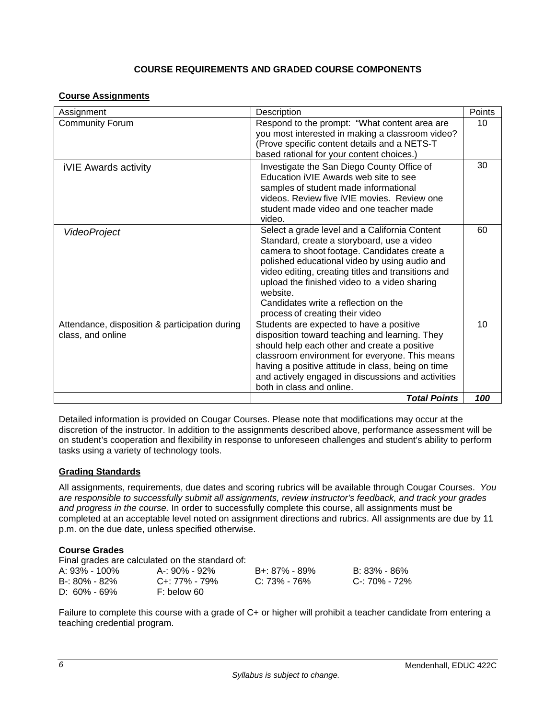# **COURSE REQUIREMENTS AND GRADED COURSE COMPONENTS**

# **Course Assignments**

| Assignment                                                          | Description                                                                                                                                                                                                                                                                                                                                                                               | Points |
|---------------------------------------------------------------------|-------------------------------------------------------------------------------------------------------------------------------------------------------------------------------------------------------------------------------------------------------------------------------------------------------------------------------------------------------------------------------------------|--------|
| <b>Community Forum</b>                                              | Respond to the prompt: "What content area are<br>you most interested in making a classroom video?<br>(Prove specific content details and a NETS-T<br>based rational for your content choices.)                                                                                                                                                                                            | 10     |
| <b>iVIE Awards activity</b>                                         | Investigate the San Diego County Office of<br>Education iVIE Awards web site to see<br>samples of student made informational<br>videos. Review five iVIE movies. Review one<br>student made video and one teacher made<br>video.                                                                                                                                                          | 30     |
| <b>VideoProject</b>                                                 | Select a grade level and a California Content<br>Standard, create a storyboard, use a video<br>camera to shoot footage. Candidates create a<br>polished educational video by using audio and<br>video editing, creating titles and transitions and<br>upload the finished video to a video sharing<br>website.<br>Candidates write a reflection on the<br>process of creating their video | 60     |
| Attendance, disposition & participation during<br>class, and online | Students are expected to have a positive<br>disposition toward teaching and learning. They<br>should help each other and create a positive<br>classroom environment for everyone. This means<br>having a positive attitude in class, being on time<br>and actively engaged in discussions and activities<br>both in class and online.                                                     | 10     |
|                                                                     | <b>Total Points</b>                                                                                                                                                                                                                                                                                                                                                                       | 100    |

Detailed information is provided on Cougar Courses. Please note that modifications may occur at the discretion of the instructor. In addition to the assignments described above, performance assessment will be on student's cooperation and flexibility in response to unforeseen challenges and student's ability to perform tasks using a variety of technology tools.

# **Grading Standards**

All assignments, requirements, due dates and scoring rubrics will be available through Cougar Courses. *You are responsible to successfully submit all assignments, review instructor's feedback, and track your grades and progress in the course.* In order to successfully complete this course, all assignments must be completed at an acceptable level noted on assignment directions and rubrics. All assignments are due by 11 p.m. on the due date, unless specified otherwise.

### **Course Grades**

|                   | Final grades are calculated on the standard of: |               |               |
|-------------------|-------------------------------------------------|---------------|---------------|
| A: 93% - 100%     | A-: 90% - 92%                                   | B+: 87% - 89% | B: 83% - 86%  |
| $B - 80\% - 82\%$ | $C_{+}$ : 77% - 79%                             | C: 73% - 76%  | C-: 70% - 72% |
| $D: 60\% - 69\%$  | F: below 60                                     |               |               |

Failure to complete this course with a grade of C+ or higher will prohibit a teacher candidate from entering a teaching credential program.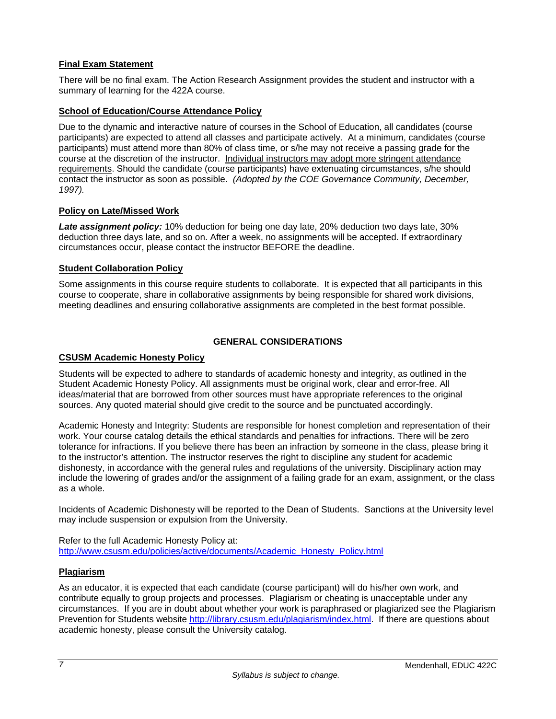# **Final Exam Statement**

There will be no final exam. The Action Research Assignment provides the student and instructor with a summary of learning for the 422A course.

### **School of Education/Course Attendance Policy**

Due to the dynamic and interactive nature of courses in the School of Education, all candidates (course participants) are expected to attend all classes and participate actively. At a minimum, candidates (course participants) must attend more than 80% of class time, or s/he may not receive a passing grade for the course at the discretion of the instructor. Individual instructors may adopt more stringent attendance requirements. Should the candidate (course participants) have extenuating circumstances, s/he should contact the instructor as soon as possible. *(Adopted by the COE Governance Community, December, 1997).*

#### **Policy on Late/Missed Work**

*Late assignment policy:* 10% deduction for being one day late, 20% deduction two days late, 30% deduction three days late, and so on. After a week, no assignments will be accepted. If extraordinary circumstances occur, please contact the instructor BEFORE the deadline.

#### **Student Collaboration Policy**

Some assignments in this course require students to collaborate. It is expected that all participants in this course to cooperate, share in collaborative assignments by being responsible for shared work divisions, meeting deadlines and ensuring collaborative assignments are completed in the best format possible.

# **GENERAL CONSIDERATIONS**

#### **CSUSM Academic Honesty Policy**

Students will be expected to adhere to standards of academic honesty and integrity, as outlined in the Student Academic Honesty Policy. All assignments must be original work, clear and error-free. All ideas/material that are borrowed from other sources must have appropriate references to the original sources. Any quoted material should give credit to the source and be punctuated accordingly.

Academic Honesty and Integrity: Students are responsible for honest completion and representation of their work. Your course catalog details the ethical standards and penalties for infractions. There will be zero tolerance for infractions. If you believe there has been an infraction by someone in the class, please bring it to the instructor's attention. The instructor reserves the right to discipline any student for academic dishonesty, in accordance with the general rules and regulations of the university. Disciplinary action may include the lowering of grades and/or the assignment of a failing grade for an exam, assignment, or the class as a whole.

Incidents of Academic Dishonesty will be reported to the Dean of Students. Sanctions at the University level may include suspension or expulsion from the University.

Refer to the full Academic Honesty Policy at: http://www.csusm.edu/policies/active/documents/Academic\_Honesty\_Policy.html

# **Plagiarism**

As an educator, it is expected that each candidate (course participant) will do his/her own work, and contribute equally to group projects and processes. Plagiarism or cheating is unacceptable under any circumstances. If you are in doubt about whether your work is paraphrased or plagiarized see the Plagiarism Prevention for Students website http://library.csusm.edu/plagiarism/index.html. If there are questions about academic honesty, please consult the University catalog.